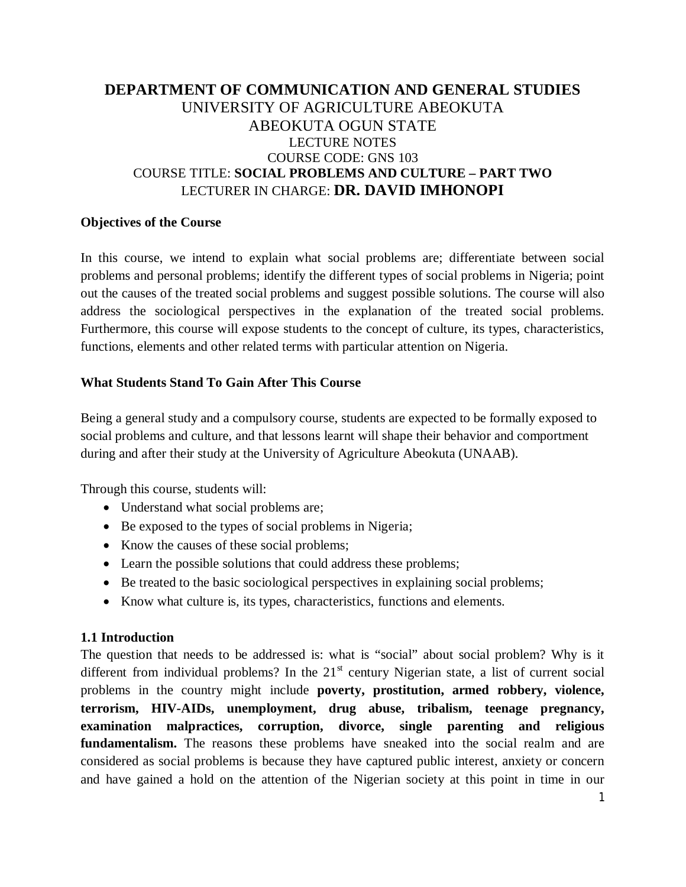# **DEPARTMENT OF COMMUNICATION AND GENERAL STUDIES** UNIVERSITY OF AGRICULTURE ABEOKUTA ABEOKUTA OGUN STATE LECTURE NOTES COURSE CODE: GNS 103 COURSE TITLE: **SOCIAL PROBLEMS AND CULTURE – PART TWO** LECTURER IN CHARGE: **DR. DAVID IMHONOPI**

## **Objectives of the Course**

In this course, we intend to explain what social problems are; differentiate between social problems and personal problems; identify the different types of social problems in Nigeria; point out the causes of the treated social problems and suggest possible solutions. The course will also address the sociological perspectives in the explanation of the treated social problems. Furthermore, this course will expose students to the concept of culture, its types, characteristics, functions, elements and other related terms with particular attention on Nigeria.

## **What Students Stand To Gain After This Course**

Being a general study and a compulsory course, students are expected to be formally exposed to social problems and culture, and that lessons learnt will shape their behavior and comportment during and after their study at the University of Agriculture Abeokuta (UNAAB).

Through this course, students will:

- Understand what social problems are;
- Be exposed to the types of social problems in Nigeria;
- Know the causes of these social problems;
- Learn the possible solutions that could address these problems;
- Be treated to the basic sociological perspectives in explaining social problems;
- Know what culture is, its types, characteristics, functions and elements.

# **1.1 Introduction**

The question that needs to be addressed is: what is "social" about social problem? Why is it different from individual problems? In the  $21<sup>st</sup>$  century Nigerian state, a list of current social problems in the country might include **poverty, prostitution, armed robbery, violence, terrorism, HIV-AIDs, unemployment, drug abuse, tribalism, teenage pregnancy, examination malpractices, corruption, divorce, single parenting and religious fundamentalism.** The reasons these problems have sneaked into the social realm and are considered as social problems is because they have captured public interest, anxiety or concern and have gained a hold on the attention of the Nigerian society at this point in time in our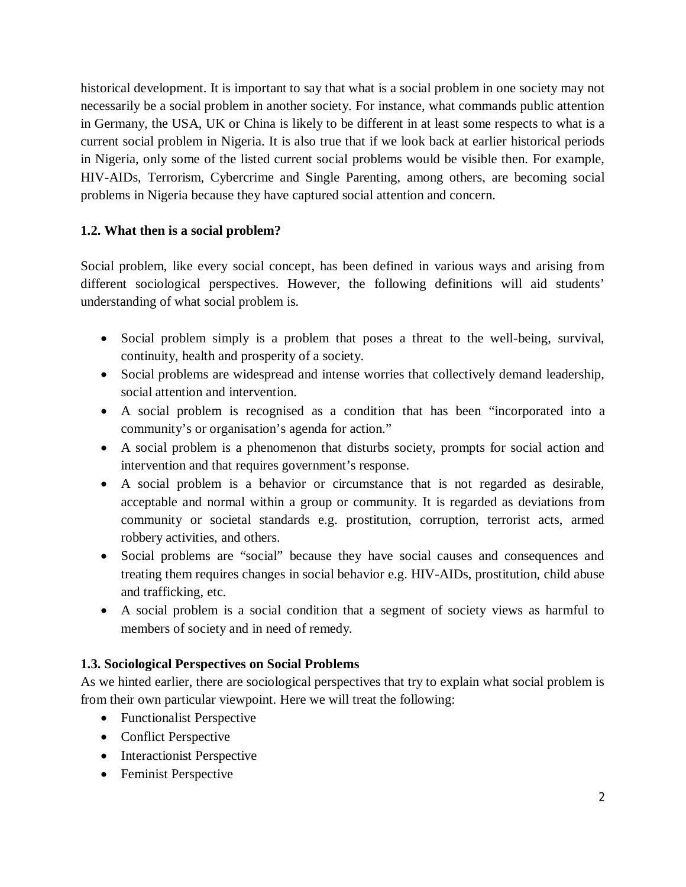historical development. It is important to say that what is a social problem in one society may not necessarily be a social problem in another society. For instance, what commands public attention in Germany, the USA, UK or China is likely to be different in at least some respects to what is a current social problem in Nigeria. It is also true that if we look back at earlier historical periods in Nigeria, only some of the listed current social problems would be visible then. For example, HIV-AIDs, Terrorism, Cybercrime and Single Parenting, among others, are becoming social problems in Nigeria because they have captured social attention and concern.

# **1.2. What then is a social problem?**

Social problem, like every social concept, has been defined in various ways and arising from different sociological perspectives. However, the following definitions will aid students' understanding of what social problem is.

- Social problem simply is a problem that poses a threat to the well-being, survival, continuity, health and prosperity of a society.
- Social problems are widespread and intense worries that collectively demand leadership, social attention and intervention.
- A social problem is recognised as a condition that has been "incorporated into a community's or organisation's agenda for action."
- A social problem is a phenomenon that disturbs society, prompts for social action and intervention and that requires government's response.
- A social problem is a behavior or circumstance that is not regarded as desirable, acceptable and normal within a group or community. It is regarded as deviations from community or societal standards e.g. prostitution, corruption, terrorist acts, armed robbery activities, and others.
- Social problems are "social" because they have social causes and consequences and treating them requires changes in social behavior e.g. HIV-AIDs, prostitution, child abuse and trafficking, etc.
- A social problem is a social condition that a segment of society views as harmful to members of society and in need of remedy.

# **1.3. Sociological Perspectives on Social Problems**

As we hinted earlier, there are sociological perspectives that try to explain what social problem is from their own particular viewpoint. Here we will treat the following:

- Functionalist Perspective
- Conflict Perspective
- Interactionist Perspective
- Feminist Perspective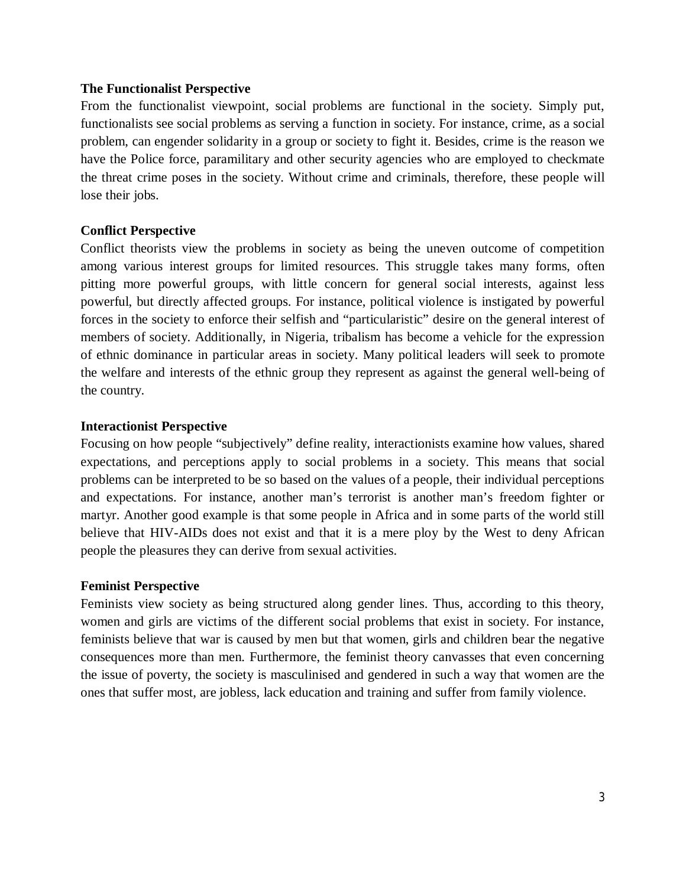#### **The Functionalist Perspective**

From the functionalist viewpoint, social problems are functional in the society. Simply put, functionalists see social problems as serving a function in society. For instance, crime, as a social problem, can engender solidarity in a group or society to fight it. Besides, crime is the reason we have the Police force, paramilitary and other security agencies who are employed to checkmate the threat crime poses in the society. Without crime and criminals, therefore, these people will lose their jobs.

#### **Conflict Perspective**

Conflict theorists view the problems in society as being the uneven outcome of competition among various interest groups for limited resources. This struggle takes many forms, often pitting more powerful groups, with little concern for general social interests, against less powerful, but directly affected groups. For instance, political violence is instigated by powerful forces in the society to enforce their selfish and "particularistic" desire on the general interest of members of society. Additionally, in Nigeria, tribalism has become a vehicle for the expression of ethnic dominance in particular areas in society. Many political leaders will seek to promote the welfare and interests of the ethnic group they represent as against the general well-being of the country.

#### **Interactionist Perspective**

Focusing on how people "subjectively" define reality, interactionists examine how values, shared expectations, and perceptions apply to social problems in a society. This means that social problems can be interpreted to be so based on the values of a people, their individual perceptions and expectations. For instance, another man's terrorist is another man's freedom fighter or martyr. Another good example is that some people in Africa and in some parts of the world still believe that HIV-AIDs does not exist and that it is a mere ploy by the West to deny African people the pleasures they can derive from sexual activities.

#### **Feminist Perspective**

Feminists view society as being structured along gender lines. Thus, according to this theory, women and girls are victims of the different social problems that exist in society. For instance, feminists believe that war is caused by men but that women, girls and children bear the negative consequences more than men. Furthermore, the feminist theory canvasses that even concerning the issue of poverty, the society is masculinised and gendered in such a way that women are the ones that suffer most, are jobless, lack education and training and suffer from family violence.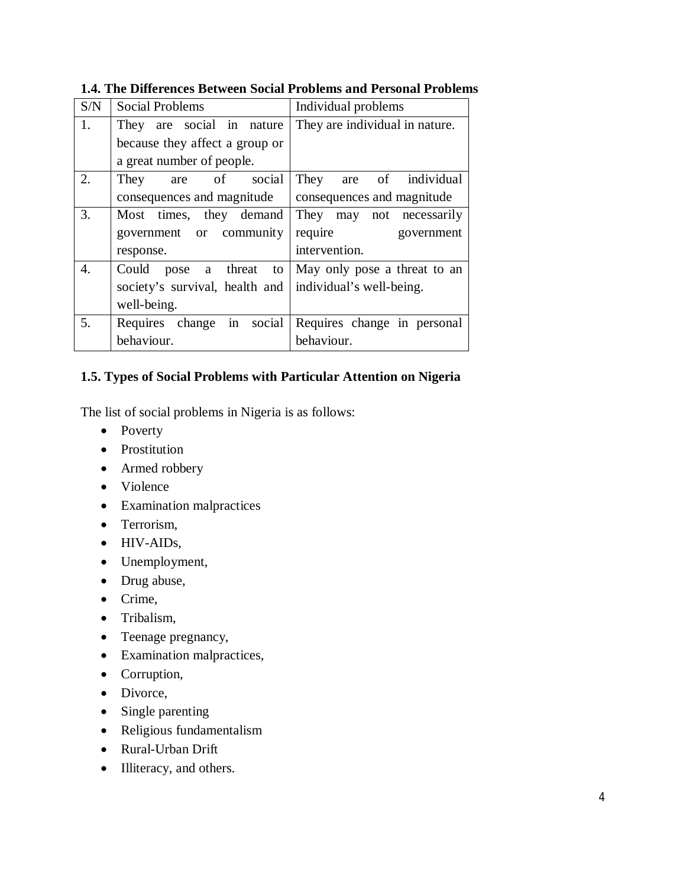| S/N | <b>Social Problems</b>         | Individual problems            |
|-----|--------------------------------|--------------------------------|
| 1.  | They are social in nature      | They are individual in nature. |
|     | because they affect a group or |                                |
|     | a great number of people.      |                                |
| 2.  | are of social<br>They          | are of individual<br>They      |
|     | consequences and magnitude     | consequences and magnitude     |
| 3.  | Most times, they demand        | They may not necessarily       |
|     | government or community        | require<br>government          |
|     | response.                      | intervention.                  |
| 4.  | Could pose a threat<br>to      | May only pose a threat to an   |
|     | society's survival, health and | individual's well-being.       |
|     | well-being.                    |                                |
| 5.  | in social<br>Requires change   | Requires change in personal    |
|     | behaviour.                     | behaviour.                     |

## **1.4. The Differences Between Social Problems and Personal Problems**

## **1.5. Types of Social Problems with Particular Attention on Nigeria**

The list of social problems in Nigeria is as follows:

- Poverty
- Prostitution
- Armed robbery
- Violence
- Examination malpractices
- Terrorism,
- HIV-AIDs,
- Unemployment,
- Drug abuse,
- Crime,
- Tribalism,
- Teenage pregnancy,
- Examination malpractices,
- Corruption,
- Divorce,
- Single parenting
- Religious fundamentalism
- Rural-Urban Drift
- Illiteracy, and others.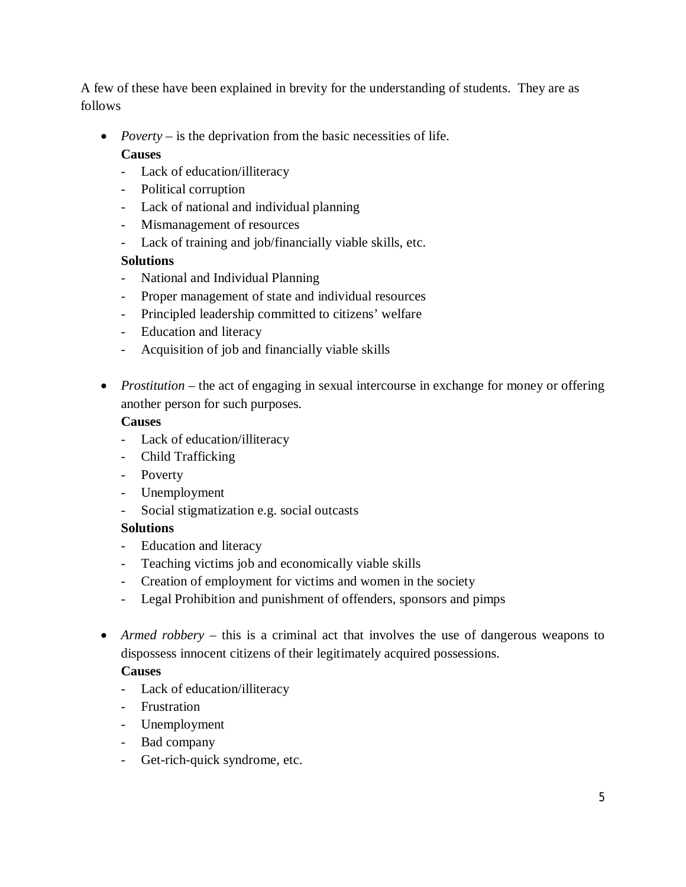A few of these have been explained in brevity for the understanding of students. They are as follows

• *Poverty* – is the deprivation from the basic necessities of life.

# **Causes**

- Lack of education/illiteracy
- Political corruption
- Lack of national and individual planning
- Mismanagement of resources
- Lack of training and job/financially viable skills, etc.

# **Solutions**

- National and Individual Planning
- Proper management of state and individual resources
- Principled leadership committed to citizens' welfare
- Education and literacy
- Acquisition of job and financially viable skills
- *Prostitution* the act of engaging in sexual intercourse in exchange for money or offering another person for such purposes.

# **Causes**

- Lack of education/illiteracy
- Child Trafficking
- Poverty
- Unemployment
- Social stigmatization e.g. social outcasts

# **Solutions**

- Education and literacy
- Teaching victims job and economically viable skills
- Creation of employment for victims and women in the society
- Legal Prohibition and punishment of offenders, sponsors and pimps
- *Armed robbery* this is a criminal act that involves the use of dangerous weapons to dispossess innocent citizens of their legitimately acquired possessions.

# **Causes**

- Lack of education/illiteracy
- Frustration
- Unemployment
- Bad company
- Get-rich-quick syndrome, etc.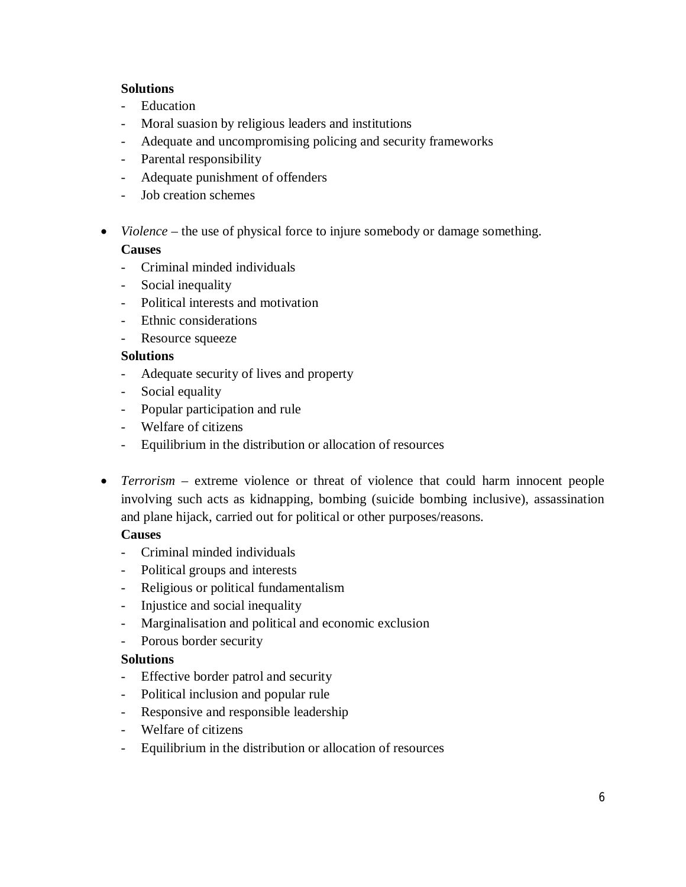## **Solutions**

- Education
- Moral suasion by religious leaders and institutions
- Adequate and uncompromising policing and security frameworks
- Parental responsibility
- Adequate punishment of offenders
- Job creation schemes
- *Violence* the use of physical force to injure somebody or damage something.

# **Causes**

- Criminal minded individuals
- Social inequality
- Political interests and motivation
- Ethnic considerations
- Resource squeeze

#### **Solutions**

- Adequate security of lives and property
- Social equality
- Popular participation and rule
- Welfare of citizens
- Equilibrium in the distribution or allocation of resources
- *Terrorism* extreme violence or threat of violence that could harm innocent people involving such acts as kidnapping, bombing (suicide bombing inclusive), assassination and plane hijack, carried out for political or other purposes/reasons.

#### **Causes**

- Criminal minded individuals
- Political groups and interests
- Religious or political fundamentalism
- Injustice and social inequality
- Marginalisation and political and economic exclusion
- Porous border security

#### **Solutions**

- Effective border patrol and security
- Political inclusion and popular rule
- Responsive and responsible leadership
- Welfare of citizens
- Equilibrium in the distribution or allocation of resources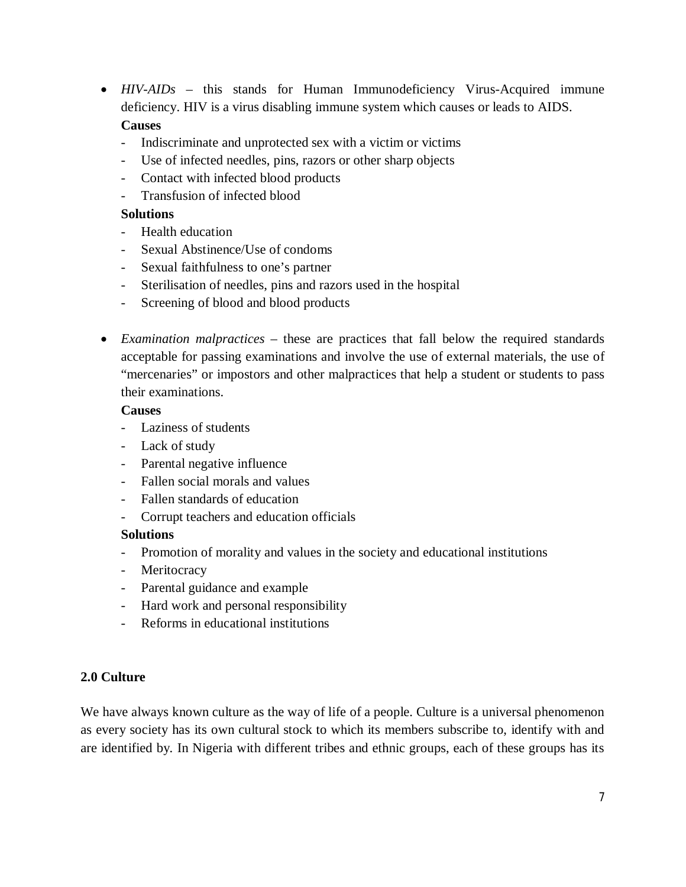- *HIV-AIDs* this stands for Human Immunodeficiency Virus-Acquired immune deficiency. HIV is a virus disabling immune system which causes or leads to AIDS. **Causes** 
	- Indiscriminate and unprotected sex with a victim or victims
	- Use of infected needles, pins, razors or other sharp objects
	- Contact with infected blood products
	- Transfusion of infected blood

# **Solutions**

- Health education
- Sexual Abstinence/Use of condoms
- Sexual faithfulness to one's partner
- Sterilisation of needles, pins and razors used in the hospital
- Screening of blood and blood products
- *Examination malpractices* these are practices that fall below the required standards acceptable for passing examinations and involve the use of external materials, the use of "mercenaries" or impostors and other malpractices that help a student or students to pass their examinations.

## **Causes**

- Laziness of students
- Lack of study
- Parental negative influence
- Fallen social morals and values
- Fallen standards of education
- Corrupt teachers and education officials

# **Solutions**

- Promotion of morality and values in the society and educational institutions
- Meritocracy
- Parental guidance and example
- Hard work and personal responsibility
- Reforms in educational institutions

# **2.0 Culture**

We have always known culture as the way of life of a people. Culture is a universal phenomenon as every society has its own cultural stock to which its members subscribe to, identify with and are identified by. In Nigeria with different tribes and ethnic groups, each of these groups has its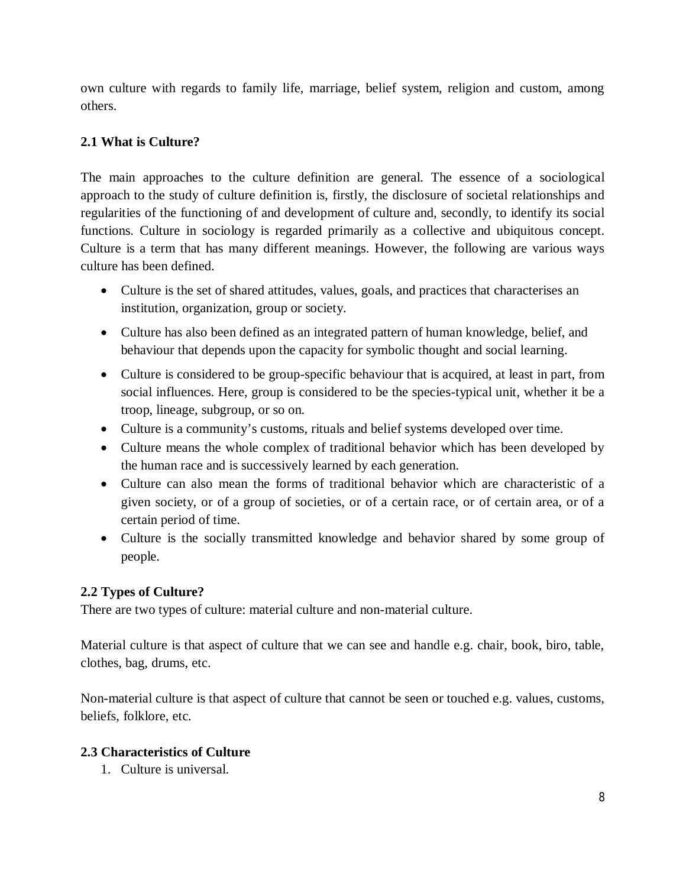own culture with regards to family life, marriage, belief system, religion and custom, among others.

# **2.1 What is Culture?**

The main approaches to the culture definition are general. The essence of a sociological approach to the study of culture definition is, firstly, the disclosure of societal relationships and regularities of the functioning of and development of culture and, secondly, to identify its social functions. Culture in sociology is regarded primarily as a collective and ubiquitous concept. Culture is a term that has many different meanings. However, the following are various ways culture has been defined.

- Culture is the set of shared attitudes, values, goals, and practices that characterises an institution, organization, group or society.
- Culture has also been defined as an integrated pattern of human knowledge, belief, and behaviour that depends upon the capacity for symbolic thought and social learning.
- Culture is considered to be group-specific behaviour that is acquired, at least in part, from social influences. Here, group is considered to be the species-typical unit, whether it be a troop, lineage, subgroup, or so on.
- Culture is a community's customs, rituals and belief systems developed over time.
- Culture means the whole complex of traditional behavior which has been developed by the human race and is successively learned by each generation.
- Culture can also mean the forms of traditional behavior which are characteristic of a given society, or of a group of societies, or of a certain race, or of certain area, or of a certain period of time.
- Culture is the socially transmitted knowledge and behavior shared by some group of people.

# **2.2 Types of Culture?**

There are two types of culture: material culture and non-material culture.

Material culture is that aspect of culture that we can see and handle e.g. chair, book, biro, table, clothes, bag, drums, etc.

Non-material culture is that aspect of culture that cannot be seen or touched e.g. values, customs, beliefs, folklore, etc.

# **2.3 Characteristics of Culture**

1. Culture is universal.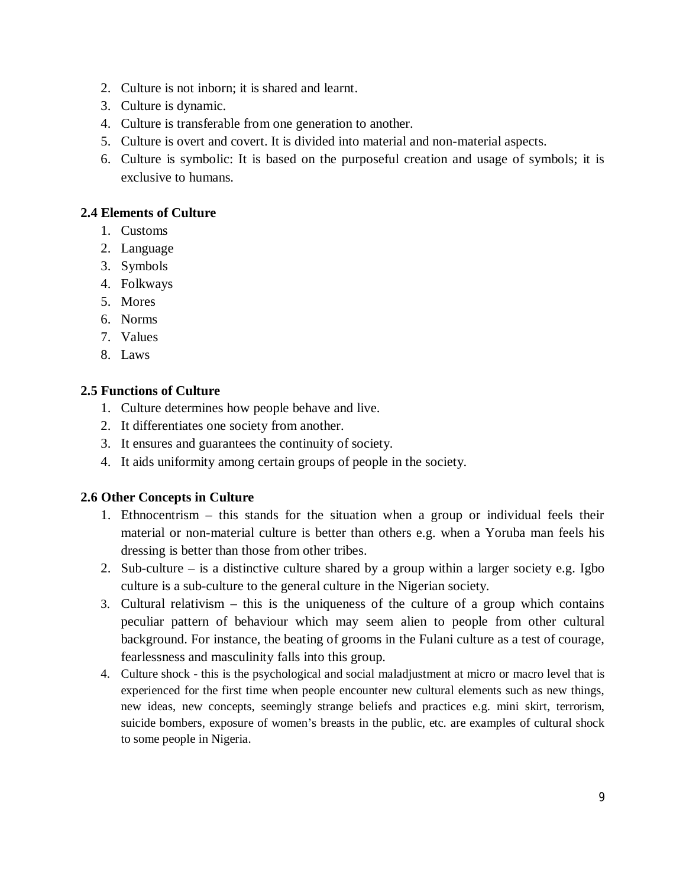- 2. Culture is not inborn; it is shared and learnt.
- 3. Culture is dynamic.
- 4. Culture is transferable from one generation to another.
- 5. Culture is overt and covert. It is divided into material and non-material aspects.
- 6. Culture is symbolic: It is based on the purposeful creation and usage of symbols; it is exclusive to humans.

# **2.4 Elements of Culture**

- 1. Customs
- 2. Language
- 3. Symbols
- 4. Folkways
- 5. Mores
- 6. Norms
- 7. Values
- 8. Laws

## **2.5 Functions of Culture**

- 1. Culture determines how people behave and live.
- 2. It differentiates one society from another.
- 3. It ensures and guarantees the continuity of society.
- 4. It aids uniformity among certain groups of people in the society.

#### **2.6 Other Concepts in Culture**

- 1. Ethnocentrism this stands for the situation when a group or individual feels their material or non-material culture is better than others e.g. when a Yoruba man feels his dressing is better than those from other tribes.
- 2. Sub-culture is a distinctive culture shared by a group within a larger society e.g. Igbo culture is a sub-culture to the general culture in the Nigerian society.
- 3. Cultural relativism this is the uniqueness of the culture of a group which contains peculiar pattern of behaviour which may seem alien to people from other cultural background. For instance, the beating of grooms in the Fulani culture as a test of courage, fearlessness and masculinity falls into this group.
- 4. Culture shock this is the psychological and social maladjustment at micro or macro level that is experienced for the first time when people encounter new cultural elements such as new things, new ideas, new concepts, seemingly strange beliefs and practices e.g. mini skirt, terrorism, suicide bombers, exposure of women's breasts in the public, etc. are examples of cultural shock to some people in Nigeria.